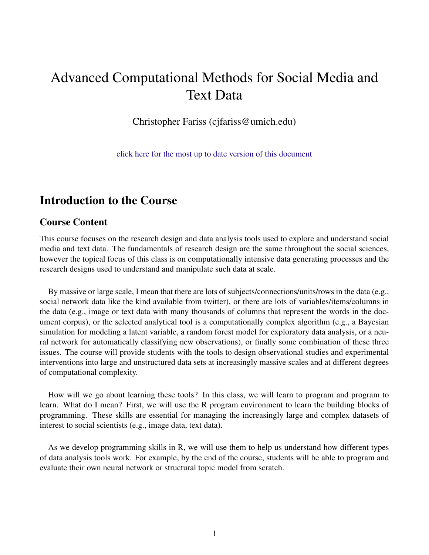# Advanced Computational Methods for Social Media and Text Data

Christopher Fariss (cjfariss@umich.edu)

[click here for the most up to date version of this document](http://cfariss.com/documents/Essex_Advanced_Computational_Methods_2020_Syllabus.pdf)

# Introduction to the Course

#### Course Content

This course focuses on the research design and data analysis tools used to explore and understand social media and text data. The fundamentals of research design are the same throughout the social sciences, however the topical focus of this class is on computationally intensive data generating processes and the research designs used to understand and manipulate such data at scale.

By massive or large scale, I mean that there are lots of subjects/connections/units/rows in the data (e.g., social network data like the kind available from twitter), or there are lots of variables/items/columns in the data (e.g., image or text data with many thousands of columns that represent the words in the document corpus), or the selected analytical tool is a computationally complex algorithm (e.g., a Bayesian simulation for modeling a latent variable, a random forest model for exploratory data analysis, or a neural network for automatically classifying new observations), or finally some combination of these three issues. The course will provide students with the tools to design observational studies and experimental interventions into large and unstructured data sets at increasingly massive scales and at different degrees of computational complexity.

How will we go about learning these tools? In this class, we will learn to program and program to learn. What do I mean? First, we will use the R program environment to learn the building blocks of programming. These skills are essential for managing the increasingly large and complex datasets of interest to social scientists (e.g., image data, text data).

As we develop programming skills in R, we will use them to help us understand how different types of data analysis tools work. For example, by the end of the course, students will be able to program and evaluate their own neural network or structural topic model from scratch.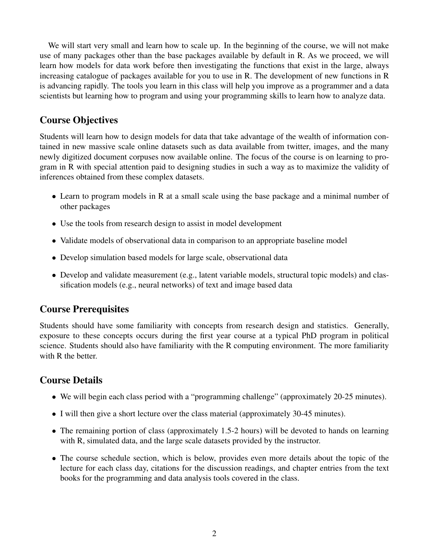We will start very small and learn how to scale up. In the beginning of the course, we will not make use of many packages other than the base packages available by default in R. As we proceed, we will learn how models for data work before then investigating the functions that exist in the large, always increasing catalogue of packages available for you to use in R. The development of new functions in R is advancing rapidly. The tools you learn in this class will help you improve as a programmer and a data scientists but learning how to program and using your programming skills to learn how to analyze data.

# Course Objectives

Students will learn how to design models for data that take advantage of the wealth of information contained in new massive scale online datasets such as data available from twitter, images, and the many newly digitized document corpuses now available online. The focus of the course is on learning to program in R with special attention paid to designing studies in such a way as to maximize the validity of inferences obtained from these complex datasets.

- Learn to program models in R at a small scale using the base package and a minimal number of other packages
- Use the tools from research design to assist in model development
- Validate models of observational data in comparison to an appropriate baseline model
- Develop simulation based models for large scale, observational data
- Develop and validate measurement (e.g., latent variable models, structural topic models) and classification models (e.g., neural networks) of text and image based data

# Course Prerequisites

Students should have some familiarity with concepts from research design and statistics. Generally, exposure to these concepts occurs during the first year course at a typical PhD program in political science. Students should also have familiarity with the R computing environment. The more familiarity with R the better.

# Course Details

- We will begin each class period with a "programming challenge" (approximately 20-25 minutes).
- I will then give a short lecture over the class material (approximately 30-45 minutes).
- The remaining portion of class (approximately 1.5-2 hours) will be devoted to hands on learning with R, simulated data, and the large scale datasets provided by the instructor.
- The course schedule section, which is below, provides even more details about the topic of the lecture for each class day, citations for the discussion readings, and chapter entries from the text books for the programming and data analysis tools covered in the class.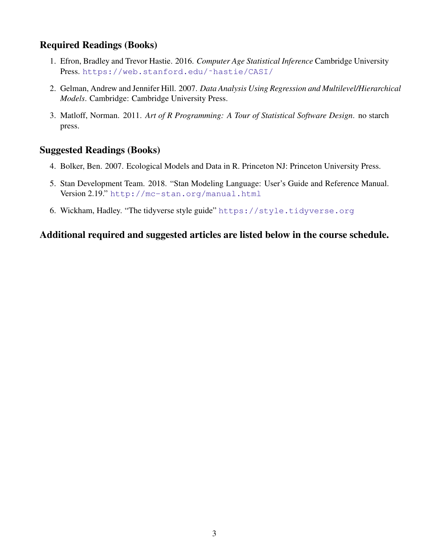## Required Readings (Books)

- 1. Efron, Bradley and Trevor Hastie. 2016. *Computer Age Statistical Inference* Cambridge University Press. [https://web.stanford.edu/˜hastie/CASI/](https://web.stanford.edu/~hastie/CASI/)
- 2. Gelman, Andrew and Jennifer Hill. 2007. *Data Analysis Using Regression and Multilevel/Hierarchical Models*. Cambridge: Cambridge University Press.
- 3. Matloff, Norman. 2011. *Art of R Programming: A Tour of Statistical Software Design*. no starch press.

### Suggested Readings (Books)

- 4. Bolker, Ben. 2007. Ecological Models and Data in R. Princeton NJ: Princeton University Press.
- 5. Stan Development Team. 2018. "Stan Modeling Language: User's Guide and Reference Manual. Version 2.19." <http://mc-stan.org/manual.html>
- 6. Wickham, Hadley. "The tidyverse style guide" <https://style.tidyverse.org>

### Additional required and suggested articles are listed below in the course schedule.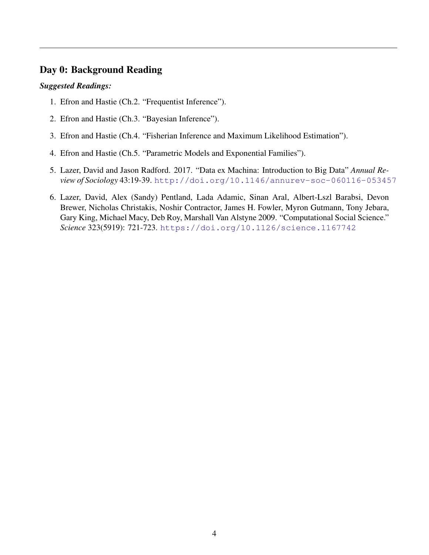### Day 0: Background Reading

- 1. Efron and Hastie (Ch.2. "Frequentist Inference").
- 2. Efron and Hastie (Ch.3. "Bayesian Inference").
- 3. Efron and Hastie (Ch.4. "Fisherian Inference and Maximum Likelihood Estimation").
- 4. Efron and Hastie (Ch.5. "Parametric Models and Exponential Families").
- 5. Lazer, David and Jason Radford. 2017. "Data ex Machina: Introduction to Big Data" *Annual Review of Sociology* 43:19-39. <http://doi.org/10.1146/annurev-soc-060116-053457>
- 6. Lazer, David, Alex (Sandy) Pentland, Lada Adamic, Sinan Aral, Albert-Lszl Barabsi, Devon Brewer, Nicholas Christakis, Noshir Contractor, James H. Fowler, Myron Gutmann, Tony Jebara, Gary King, Michael Macy, Deb Roy, Marshall Van Alstyne 2009. "Computational Social Science." *Science* 323(5919): 721-723. <https://doi.org/10.1126/science.1167742>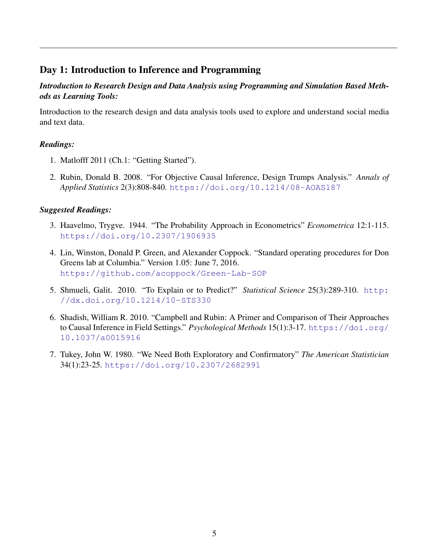## Day 1: Introduction to Inference and Programming

#### *Introduction to Research Design and Data Analysis using Programming and Simulation Based Methods as Learning Tools:*

Introduction to the research design and data analysis tools used to explore and understand social media and text data.

### *Readings:*

- 1. Matlofff 2011 (Ch.1: "Getting Started").
- 2. Rubin, Donald B. 2008. "For Objective Causal Inference, Design Trumps Analysis." *Annals of Applied Statistics* 2(3):808-840. <https://doi.org/10.1214/08-AOAS187>

- 3. Haavelmo, Trygve. 1944. "The Probability Approach in Econometrics" *Econometrica* 12:1-115. <https://doi.org/10.2307/1906935>
- 4. Lin, Winston, Donald P. Green, and Alexander Coppock. "Standard operating procedures for Don Greens lab at Columbia." Version 1.05: June 7, 2016. <https://github.com/acoppock/Green-Lab-SOP>
- 5. Shmueli, Galit. 2010. "To Explain or to Predict?" *Statistical Science* 25(3):289-310. [http:](http://dx.doi.org/10.1214/10-STS330) [//dx.doi.org/10.1214/10-STS330](http://dx.doi.org/10.1214/10-STS330)
- 6. Shadish, William R. 2010. "Campbell and Rubin: A Primer and Comparison of Their Approaches to Causal Inference in Field Settings." *Psychological Methods* 15(1):3-17. [https://doi.org/](https://doi.org/10.1037/a0015916) [10.1037/a0015916](https://doi.org/10.1037/a0015916)
- 7. Tukey, John W. 1980. "We Need Both Exploratory and Confirmatory" *The American Statistician* 34(1):23-25. <https://doi.org/10.2307/2682991>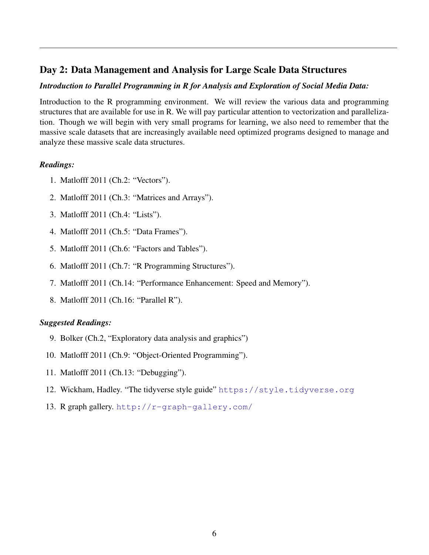# Day 2: Data Management and Analysis for Large Scale Data Structures

#### *Introduction to Parallel Programming in R for Analysis and Exploration of Social Media Data:*

Introduction to the R programming environment. We will review the various data and programming structures that are available for use in R. We will pay particular attention to vectorization and parallelization. Though we will begin with very small programs for learning, we also need to remember that the massive scale datasets that are increasingly available need optimized programs designed to manage and analyze these massive scale data structures.

#### *Readings:*

- 1. Matlofff 2011 (Ch.2: "Vectors").
- 2. Matlofff 2011 (Ch.3: "Matrices and Arrays").
- 3. Matlofff 2011 (Ch.4: "Lists").
- 4. Matlofff 2011 (Ch.5: "Data Frames").
- 5. Matlofff 2011 (Ch.6: "Factors and Tables").
- 6. Matlofff 2011 (Ch.7: "R Programming Structures").
- 7. Matlofff 2011 (Ch.14: "Performance Enhancement: Speed and Memory").
- 8. Matlofff 2011 (Ch.16: "Parallel R").

- 9. Bolker (Ch.2, "Exploratory data analysis and graphics")
- 10. Matlofff 2011 (Ch.9: "Object-Oriented Programming").
- 11. Matlofff 2011 (Ch.13: "Debugging").
- 12. Wickham, Hadley. "The tidyverse style guide" <https://style.tidyverse.org>
- 13. R graph gallery. <http://r-graph-gallery.com/>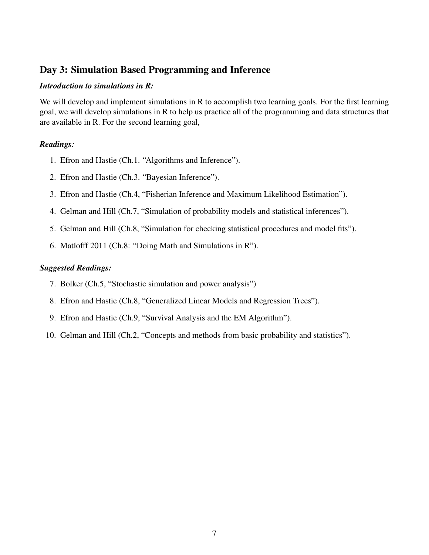# Day 3: Simulation Based Programming and Inference

#### *Introduction to simulations in R:*

We will develop and implement simulations in R to accomplish two learning goals. For the first learning goal, we will develop simulations in R to help us practice all of the programming and data structures that are available in R. For the second learning goal,

#### *Readings:*

- 1. Efron and Hastie (Ch.1. "Algorithms and Inference").
- 2. Efron and Hastie (Ch.3. "Bayesian Inference").
- 3. Efron and Hastie (Ch.4, "Fisherian Inference and Maximum Likelihood Estimation").
- 4. Gelman and Hill (Ch.7, "Simulation of probability models and statistical inferences").
- 5. Gelman and Hill (Ch.8, "Simulation for checking statistical procedures and model fits").
- 6. Matlofff 2011 (Ch.8: "Doing Math and Simulations in R").

- 7. Bolker (Ch.5, "Stochastic simulation and power analysis")
- 8. Efron and Hastie (Ch.8, "Generalized Linear Models and Regression Trees").
- 9. Efron and Hastie (Ch.9, "Survival Analysis and the EM Algorithm").
- 10. Gelman and Hill (Ch.2, "Concepts and methods from basic probability and statistics").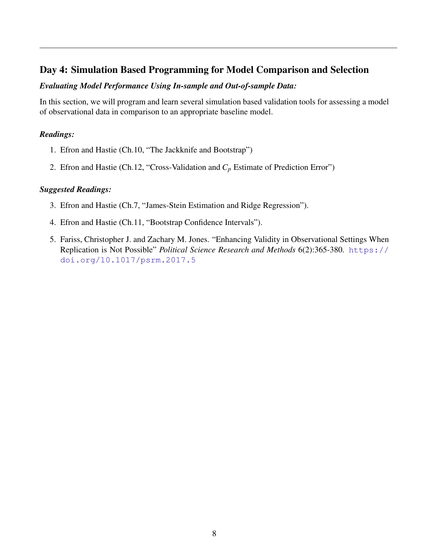# Day 4: Simulation Based Programming for Model Comparison and Selection

#### *Evaluating Model Performance Using In-sample and Out-of-sample Data:*

In this section, we will program and learn several simulation based validation tools for assessing a model of observational data in comparison to an appropriate baseline model.

### *Readings:*

- 1. Efron and Hastie (Ch.10, "The Jackknife and Bootstrap")
- 2. Efron and Hastie (Ch.12, "Cross-Validation and *C<sup>p</sup>* Estimate of Prediction Error")

- 3. Efron and Hastie (Ch.7, "James-Stein Estimation and Ridge Regression").
- 4. Efron and Hastie (Ch.11, "Bootstrap Confidence Intervals").
- 5. Fariss, Christopher J. and Zachary M. Jones. "Enhancing Validity in Observational Settings When Replication is Not Possible" *Political Science Research and Methods* 6(2):365-380. [https://](https://doi.org/10.1017/psrm.2017.5) [doi.org/10.1017/psrm.2017.5](https://doi.org/10.1017/psrm.2017.5)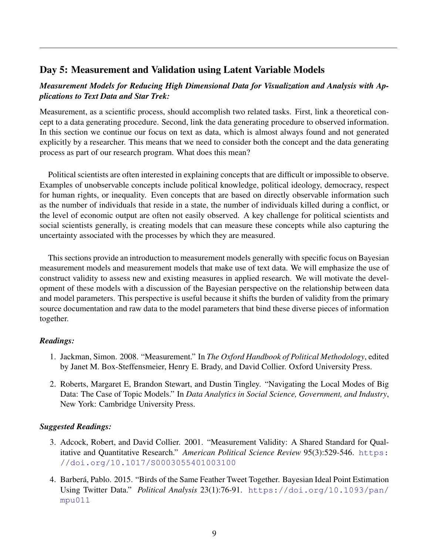### Day 5: Measurement and Validation using Latent Variable Models

#### *Measurement Models for Reducing High Dimensional Data for Visualization and Analysis with Applications to Text Data and Star Trek:*

Measurement, as a scientific process, should accomplish two related tasks. First, link a theoretical concept to a data generating procedure. Second, link the data generating procedure to observed information. In this section we continue our focus on text as data, which is almost always found and not generated explicitly by a researcher. This means that we need to consider both the concept and the data generating process as part of our research program. What does this mean?

Political scientists are often interested in explaining concepts that are difficult or impossible to observe. Examples of unobservable concepts include political knowledge, political ideology, democracy, respect for human rights, or inequality. Even concepts that are based on directly observable information such as the number of individuals that reside in a state, the number of individuals killed during a conflict, or the level of economic output are often not easily observed. A key challenge for political scientists and social scientists generally, is creating models that can measure these concepts while also capturing the uncertainty associated with the processes by which they are measured.

This sections provide an introduction to measurement models generally with specific focus on Bayesian measurement models and measurement models that make use of text data. We will emphasize the use of construct validity to assess new and existing measures in applied research. We will motivate the development of these models with a discussion of the Bayesian perspective on the relationship between data and model parameters. This perspective is useful because it shifts the burden of validity from the primary source documentation and raw data to the model parameters that bind these diverse pieces of information together.

#### *Readings:*

- 1. Jackman, Simon. 2008. "Measurement." In *The Oxford Handbook of Political Methodology*, edited by Janet M. Box-Steffensmeier, Henry E. Brady, and David Collier. Oxford University Press.
- 2. Roberts, Margaret E, Brandon Stewart, and Dustin Tingley. "Navigating the Local Modes of Big Data: The Case of Topic Models." In *Data Analytics in Social Science, Government, and Industry*, New York: Cambridge University Press.

- 3. Adcock, Robert, and David Collier. 2001. "Measurement Validity: A Shared Standard for Qualitative and Quantitative Research." *American Political Science Review* 95(3):529-546. [https:](https://doi.org/10.1017/S0003055401003100) [//doi.org/10.1017/S0003055401003100](https://doi.org/10.1017/S0003055401003100)
- 4. Barberá, Pablo. 2015. "Birds of the Same Feather Tweet Together. Bayesian Ideal Point Estimation Using Twitter Data." *Political Analysis* 23(1):76-91. [https://doi.org/10.1093/pan/](https://doi.org/10.1093/pan/mpu011) [mpu011](https://doi.org/10.1093/pan/mpu011)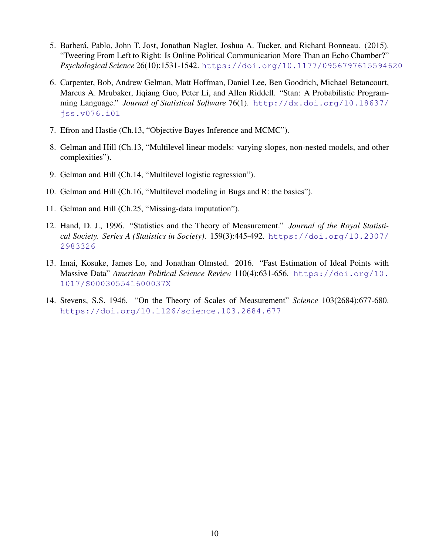- 5. Barberá, Pablo, John T. Jost, Jonathan Nagler, Joshua A. Tucker, and Richard Bonneau. (2015). "Tweeting From Left to Right: Is Online Political Communication More Than an Echo Chamber?" *Psychological Science* 26(10):1531-1542. <https://doi.org/10.1177/0956797615594620>
- 6. Carpenter, Bob, Andrew Gelman, Matt Hoffman, Daniel Lee, Ben Goodrich, Michael Betancourt, Marcus A. Mrubaker, Jiqiang Guo, Peter Li, and Allen Riddell. "Stan: A Probabilistic Programming Language." *Journal of Statistical Software* 76(1). [http://dx.doi.org/10.18637/](http://dx.doi.org/10.18637/jss.v076.i01) [jss.v076.i01](http://dx.doi.org/10.18637/jss.v076.i01)
- 7. Efron and Hastie (Ch.13, "Objective Bayes Inference and MCMC").
- 8. Gelman and Hill (Ch.13, "Multilevel linear models: varying slopes, non-nested models, and other complexities").
- 9. Gelman and Hill (Ch.14, "Multilevel logistic regression").
- 10. Gelman and Hill (Ch.16, "Multilevel modeling in Bugs and R: the basics").
- 11. Gelman and Hill (Ch.25, "Missing-data imputation").
- 12. Hand, D. J., 1996. "Statistics and the Theory of Measurement." *Journal of the Royal Statistical Society. Series A (Statistics in Society)*. 159(3):445-492. [https://doi.org/10.2307/](https://doi.org/10.2307/2983326) [2983326](https://doi.org/10.2307/2983326)
- 13. Imai, Kosuke, James Lo, and Jonathan Olmsted. 2016. "Fast Estimation of Ideal Points with Massive Data" *American Political Science Review* 110(4):631-656. [https://doi.org/10.](https://doi.org/10.1017/S000305541600037X) [1017/S000305541600037X](https://doi.org/10.1017/S000305541600037X)
- 14. Stevens, S.S. 1946. "On the Theory of Scales of Measurement" *Science* 103(2684):677-680. <https://doi.org/10.1126/science.103.2684.677>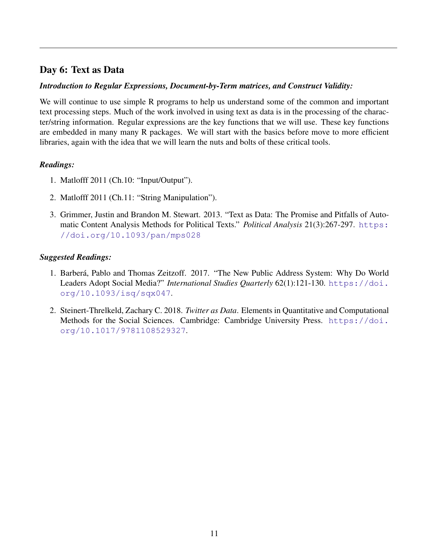# Day 6: Text as Data

### *Introduction to Regular Expressions, Document-by-Term matrices, and Construct Validity:*

We will continue to use simple R programs to help us understand some of the common and important text processing steps. Much of the work involved in using text as data is in the processing of the character/string information. Regular expressions are the key functions that we will use. These key functions are embedded in many many R packages. We will start with the basics before move to more efficient libraries, again with the idea that we will learn the nuts and bolts of these critical tools.

### *Readings:*

- 1. Matlofff 2011 (Ch.10: "Input/Output").
- 2. Matlofff 2011 (Ch.11: "String Manipulation").
- 3. Grimmer, Justin and Brandon M. Stewart. 2013. "Text as Data: The Promise and Pitfalls of Automatic Content Analysis Methods for Political Texts." *Political Analysis* 21(3):267-297. [https:](https://doi.org/10.1093/pan/mps028) [//doi.org/10.1093/pan/mps028](https://doi.org/10.1093/pan/mps028)

- 1. Barberá, Pablo and Thomas Zeitzoff. 2017. "The New Public Address System: Why Do World Leaders Adopt Social Media?" *International Studies Quarterly* 62(1):121-130. [https://doi.](https://doi.org/10.1093/isq/sqx047) [org/10.1093/isq/sqx047](https://doi.org/10.1093/isq/sqx047).
- 2. Steinert-Threlkeld, Zachary C. 2018. *Twitter as Data*. Elements in Quantitative and Computational Methods for the Social Sciences. Cambridge: Cambridge University Press. [https://doi.](https://doi.org/10.1017/9781108529327) [org/10.1017/9781108529327](https://doi.org/10.1017/9781108529327).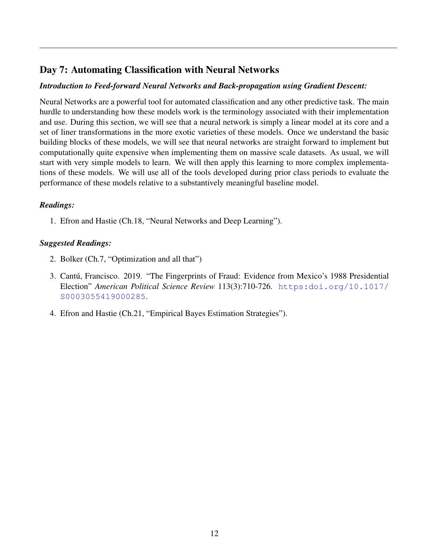# Day 7: Automating Classification with Neural Networks

### *Introduction to Feed-forward Neural Networks and Back-propagation using Gradient Descent:*

Neural Networks are a powerful tool for automated classification and any other predictive task. The main hurdle to understanding how these models work is the terminology associated with their implementation and use. During this section, we will see that a neural network is simply a linear model at its core and a set of liner transformations in the more exotic varieties of these models. Once we understand the basic building blocks of these models, we will see that neural networks are straight forward to implement but computationally quite expensive when implementing them on massive scale datasets. As usual, we will start with very simple models to learn. We will then apply this learning to more complex implementations of these models. We will use all of the tools developed during prior class periods to evaluate the performance of these models relative to a substantively meaningful baseline model.

### *Readings:*

1. Efron and Hastie (Ch.18, "Neural Networks and Deep Learning").

- 2. Bolker (Ch.7, "Optimization and all that")
- 3. Cantú, Francisco. 2019. "The Fingerprints of Fraud: Evidence from Mexico's 1988 Presidential Election" *American Political Science Review* 113(3):710-726. [https:doi.org/10.1017/](https:doi.org/10.1017/S0003055419000285) [S0003055419000285](https:doi.org/10.1017/S0003055419000285).
- 4. Efron and Hastie (Ch.21, "Empirical Bayes Estimation Strategies").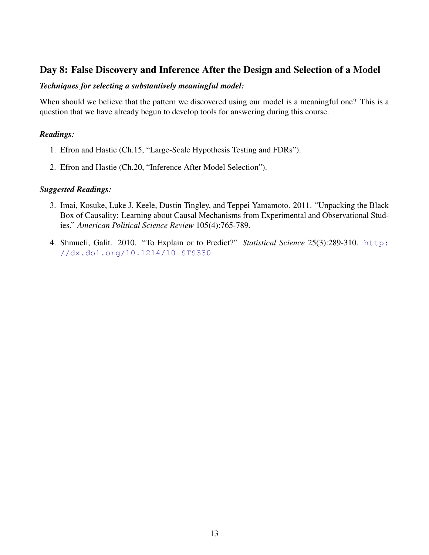### Day 8: False Discovery and Inference After the Design and Selection of a Model

#### *Techniques for selecting a substantively meaningful model:*

When should we believe that the pattern we discovered using our model is a meaningful one? This is a question that we have already begun to develop tools for answering during this course.

### *Readings:*

- 1. Efron and Hastie (Ch.15, "Large-Scale Hypothesis Testing and FDRs").
- 2. Efron and Hastie (Ch.20, "Inference After Model Selection").

- 3. Imai, Kosuke, Luke J. Keele, Dustin Tingley, and Teppei Yamamoto. 2011. "Unpacking the Black Box of Causality: Learning about Causal Mechanisms from Experimental and Observational Studies." *American Political Science Review* 105(4):765-789.
- 4. Shmueli, Galit. 2010. "To Explain or to Predict?" *Statistical Science* 25(3):289-310. [http:](http://dx.doi.org/10.1214/10-STS330) [//dx.doi.org/10.1214/10-STS330](http://dx.doi.org/10.1214/10-STS330)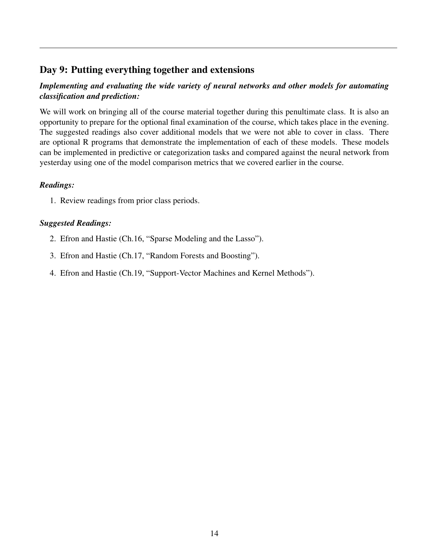# Day 9: Putting everything together and extensions

### *Implementing and evaluating the wide variety of neural networks and other models for automating classification and prediction:*

We will work on bringing all of the course material together during this penultimate class. It is also an opportunity to prepare for the optional final examination of the course, which takes place in the evening. The suggested readings also cover additional models that we were not able to cover in class. There are optional R programs that demonstrate the implementation of each of these models. These models can be implemented in predictive or categorization tasks and compared against the neural network from yesterday using one of the model comparison metrics that we covered earlier in the course.

### *Readings:*

1. Review readings from prior class periods.

- 2. Efron and Hastie (Ch.16, "Sparse Modeling and the Lasso").
- 3. Efron and Hastie (Ch.17, "Random Forests and Boosting").
- 4. Efron and Hastie (Ch.19, "Support-Vector Machines and Kernel Methods").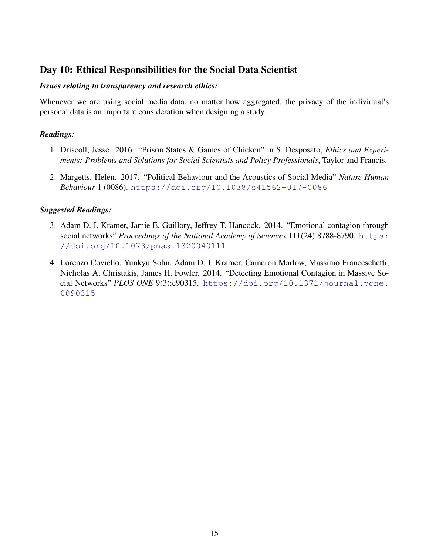# Day 10: Ethical Responsibilities for the Social Data Scientist

#### *Issues relating to transparency and research ethics:*

Whenever we are using social media data, no matter how aggregated, the privacy of the individual's personal data is an important consideration when designing a study.

#### *Readings:*

- 1. Driscoll, Jesse. 2016. "Prison States & Games of Chicken" in S. Desposato, *Ethics and Experiments: Problems and Solutions for Social Scientists and Policy Professionals*, Taylor and Francis.
- 2. Margetts, Helen. 2017. "Political Behaviour and the Acoustics of Social Media" *Nature Human Behaviour* 1 (0086). <https://doi.org/10.1038/s41562-017-0086>

- 3. Adam D. I. Kramer, Jamie E. Guillory, Jeffrey T. Hancock. 2014. "Emotional contagion through social networks" *Proceedings of the National Academy of Sciences* 111(24):8788-8790. [https:](https://doi.org/10.1073/pnas.1320040111) [//doi.org/10.1073/pnas.1320040111](https://doi.org/10.1073/pnas.1320040111)
- 4. Lorenzo Coviello, Yunkyu Sohn, Adam D. I. Kramer, Cameron Marlow, Massimo Franceschetti, Nicholas A. Christakis, James H. Fowler. 2014. "Detecting Emotional Contagion in Massive Social Networks" *PLOS ONE* 9(3):e90315. [https://doi.org/10.1371/journal.pone.](https://doi.org/10.1371/journal.pone.0090315) [0090315](https://doi.org/10.1371/journal.pone.0090315)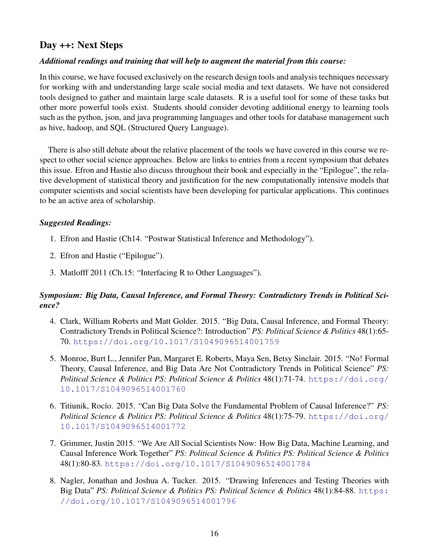### Day ++: Next Steps

#### *Additional readings and training that will help to augment the material from this course:*

In this course, we have focused exclusively on the research design tools and analysis techniques necessary for working with and understanding large scale social media and text datasets. We have not considered tools designed to gather and maintain large scale datasets. R is a useful tool for some of these tasks but other more powerful tools exist. Students should consider devoting additional energy to learning tools such as the python, json, and java programming languages and other tools for database management such as hive, hadoop, and SQL (Structured Query Language).

There is also still debate about the relative placement of the tools we have covered in this course we respect to other social science approaches. Below are links to entries from a recent symposium that debates this issue. Efron and Hastie also discuss throughout their book and especially in the "Epilogue", the relative development of statistical theory and justification for the new computationally intensive models that computer scientists and social scientists have been developing for particular applications. This continues to be an active area of scholarship.

#### *Suggested Readings:*

- 1. Efron and Hastie (Ch14. "Postwar Statistical Inference and Methodology").
- 2. Efron and Hastie ("Epilogue").
- 3. Matlofff 2011 (Ch.15: "Interfacing R to Other Languages").

### *Symposium: Big Data, Causal Inference, and Formal Theory: Contradictory Trends in Political Science?*

- 4. Clark, William Roberts and Matt Golder. 2015. "Big Data, Causal Inference, and Formal Theory: Contradictory Trends in Political Science?: Introduction" *PS: Political Science & Politics* 48(1):65- 70. <https://doi.org/10.1017/S1049096514001759>
- 5. Monroe, Burt L., Jennifer Pan, Margaret E. Roberts, Maya Sen, Betsy Sinclair. 2015. "No! Formal Theory, Causal Inference, and Big Data Are Not Contradictory Trends in Political Science" *PS: Political Science & Politics PS: Political Science & Politics* 48(1):71-74. [https://doi.org/](https://doi.org/10.1017/S1049096514001760) [10.1017/S1049096514001760](https://doi.org/10.1017/S1049096514001760)
- 6. Titiunik, Rocío. 2015. "Can Big Data Solve the Fundamental Problem of Causal Inference?" *PS*: *Political Science & Politics PS: Political Science & Politics* 48(1):75-79. [https://doi.org/](https://doi.org/10.1017/S1049096514001772) [10.1017/S1049096514001772](https://doi.org/10.1017/S1049096514001772)
- 7. Grimmer, Justin 2015. "We Are All Social Scientists Now: How Big Data, Machine Learning, and Causal Inference Work Together" *PS: Political Science & Politics PS: Political Science & Politics* 48(1):80-83. <https://doi.org/10.1017/S1049096514001784>
- 8. Nagler, Jonathan and Joshua A. Tucker. 2015. "Drawing Inferences and Testing Theories with Big Data" *PS: Political Science & Politics PS: Political Science & Politics* 48(1):84-88. [https:](https://doi.org/10.1017/S1049096514001796) [//doi.org/10.1017/S1049096514001796](https://doi.org/10.1017/S1049096514001796)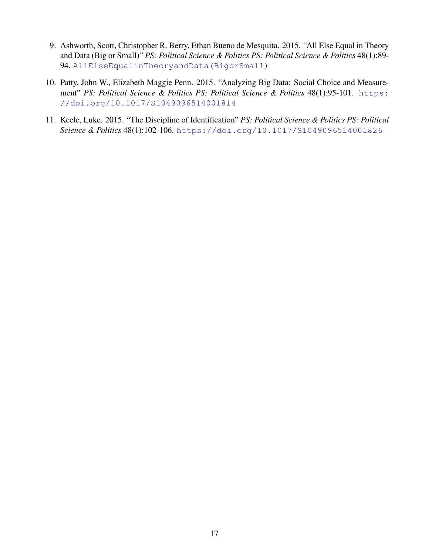- 9. Ashworth, Scott, Christopher R. Berry, Ethan Bueno de Mesquita. 2015. "All Else Equal in Theory and Data (Big or Small)" *PS: Political Science & Politics PS: Political Science & Politics* 48(1):89- 94. [AllElseEqualinTheoryandData\(BigorSmall\)](All Else Equal in Theory and Data (Big or Small))
- 10. Patty, John W., Elizabeth Maggie Penn. 2015. "Analyzing Big Data: Social Choice and Measurement" *PS: Political Science & Politics PS: Political Science & Politics* 48(1):95-101. [https:](https://doi.org/10.1017/S1049096514001814) [//doi.org/10.1017/S1049096514001814](https://doi.org/10.1017/S1049096514001814)
- 11. Keele, Luke. 2015. "The Discipline of Identification" *PS: Political Science & Politics PS: Political Science & Politics* 48(1):102-106. <https://doi.org/10.1017/S1049096514001826>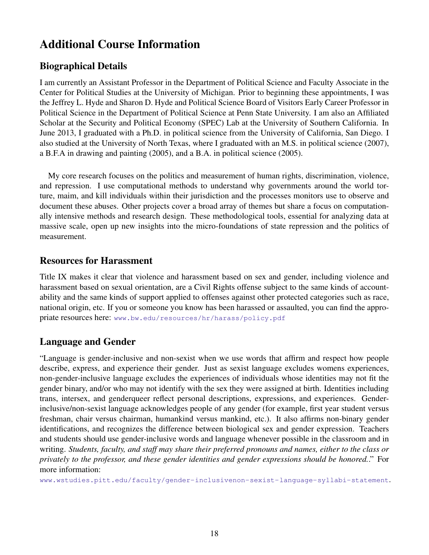# Additional Course Information

# Biographical Details

I am currently an Assistant Professor in the Department of Political Science and Faculty Associate in the Center for Political Studies at the University of Michigan. Prior to beginning these appointments, I was the Jeffrey L. Hyde and Sharon D. Hyde and Political Science Board of Visitors Early Career Professor in Political Science in the Department of Political Science at Penn State University. I am also an Affiliated Scholar at the Security and Political Economy (SPEC) Lab at the University of Southern California. In June 2013, I graduated with a Ph.D. in political science from the University of California, San Diego. I also studied at the University of North Texas, where I graduated with an M.S. in political science (2007), a B.F.A in drawing and painting (2005), and a B.A. in political science (2005).

My core research focuses on the politics and measurement of human rights, discrimination, violence, and repression. I use computational methods to understand why governments around the world torture, maim, and kill individuals within their jurisdiction and the processes monitors use to observe and document these abuses. Other projects cover a broad array of themes but share a focus on computationally intensive methods and research design. These methodological tools, essential for analyzing data at massive scale, open up new insights into the micro-foundations of state repression and the politics of measurement.

### Resources for Harassment

Title IX makes it clear that violence and harassment based on sex and gender, including violence and harassment based on sexual orientation, are a Civil Rights offense subject to the same kinds of accountability and the same kinds of support applied to offenses against other protected categories such as race, national origin, etc. If you or someone you know has been harassed or assaulted, you can find the appropriate resources here: <www.bw.edu/resources/hr/harass/policy.pdf>

## Language and Gender

"Language is gender-inclusive and non-sexist when we use words that affirm and respect how people describe, express, and experience their gender. Just as sexist language excludes womens experiences, non-gender-inclusive language excludes the experiences of individuals whose identities may not fit the gender binary, and/or who may not identify with the sex they were assigned at birth. Identities including trans, intersex, and genderqueer reflect personal descriptions, expressions, and experiences. Genderinclusive/non-sexist language acknowledges people of any gender (for example, first year student versus freshman, chair versus chairman, humankind versus mankind, etc.). It also affirms non-binary gender identifications, and recognizes the difference between biological sex and gender expression. Teachers and students should use gender-inclusive words and language whenever possible in the classroom and in writing. *Students, faculty, and staff may share their preferred pronouns and names, either to the class or privately to the professor, and these gender identities and gender expressions should be honored.*." For more information:

<www.wstudies.pitt.edu/faculty/gender-inclusivenon-sexist-language-syllabi-statement>.